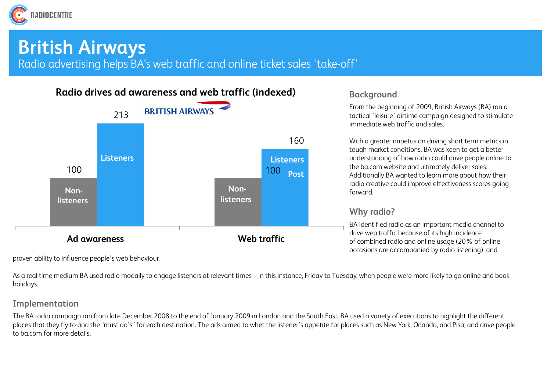

## **British Airways**

Radio advertising helps BA's web traffic and online ticket sales 'take-off'



proven ability to influence people's web behaviour.

As a real time medium BA used radio modally to engage listeners at relevant times – in this instance, Friday to Tuesday, when people were more likely to go online and book holidays.

### **Implementation**

The BA radio campaign ran from late December 2008 to the end of January 2009 in London and the South East. BA used a variety of executions to highlight the different places that they fly to and the "must do's" for each destination. The ads aimed to whet the listener's appetite for places such as New York, Orlando, and Pisa; and drive people to ba.com for more details.